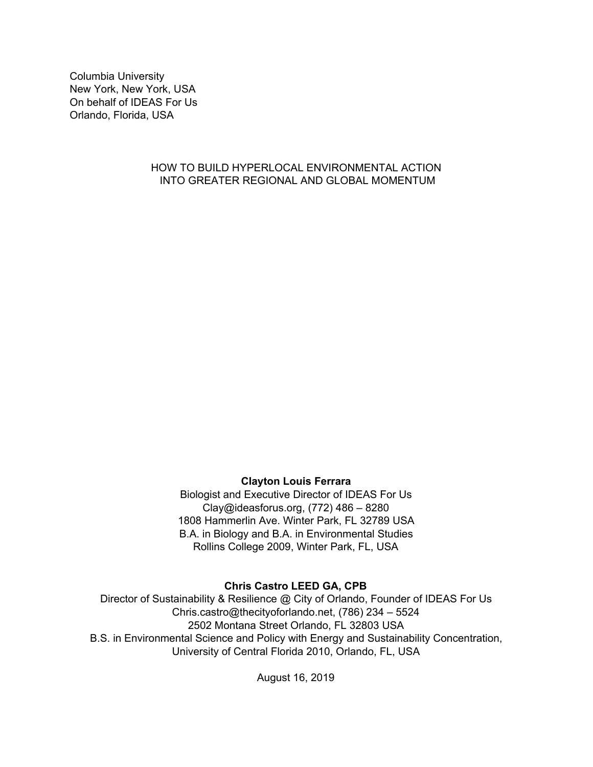Columbia University New York, New York, USA On behalf of IDEAS For Us Orlando, Florida, USA

## HOW TO BUILD HYPERLOCAL ENVIRONMENTAL ACTION INTO GREATER REGIONAL AND GLOBAL MOMENTUM

# **Clayton Louis Ferrara**

Biologist and Executive Director of IDEAS For Us Clay@ideasforus.org, (772) 486 – 8280 1808 Hammerlin Ave. Winter Park, FL 32789 USA B.A. in Biology and B.A. in Environmental Studies Rollins College 2009, Winter Park, FL, USA

# **Chris Castro LEED GA, CPB**

Director of Sustainability & Resilience @ City of Orlando, Founder of IDEAS For Us Chris.castro@thecityoforlando.net, (786) 234 – 5524 2502 Montana Street Orlando, FL 32803 USA B.S. in Environmental Science and Policy with Energy and Sustainability Concentration, University of Central Florida 2010, Orlando, FL, USA

August 16, 2019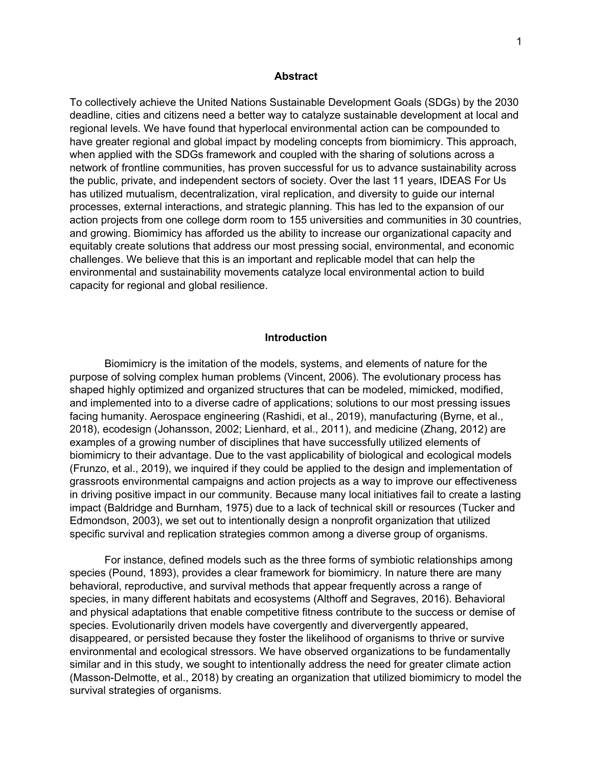#### **Abstract**

To collectively achieve the United Nations Sustainable Development Goals (SDGs) by the 2030 deadline, cities and citizens need a better way to catalyze sustainable development at local and regional levels. We have found that hyperlocal environmental action can be compounded to have greater regional and global impact by modeling concepts from biomimicry. This approach, when applied with the SDGs framework and coupled with the sharing of solutions across a network of frontline communities, has proven successful for us to advance sustainability across the public, private, and independent sectors of society. Over the last 11 years, IDEAS For Us has utilized mutualism, decentralization, viral replication, and diversity to guide our internal processes, external interactions, and strategic planning. This has led to the expansion of our action projects from one college dorm room to 155 universities and communities in 30 countries, and growing. Biomimicy has afforded us the ability to increase our organizational capacity and equitably create solutions that address our most pressing social, environmental, and economic challenges. We believe that this is an important and replicable model that can help the environmental and sustainability movements catalyze local environmental action to build capacity for regional and global resilience.

#### **Introduction**

Biomimicry is the imitation of the models, systems, and elements of nature for the purpose of solving complex human problems (Vincent, 2006). The evolutionary process has shaped highly optimized and organized structures that can be modeled, mimicked, modified, and implemented into to a diverse cadre of applications; solutions to our most pressing issues facing humanity. Aerospace engineering (Rashidi, et al., 2019), manufacturing (Byrne, et al., 2018), ecodesign (Johansson, 2002; Lienhard, et al., 2011), and medicine (Zhang, 2012) are examples of a growing number of disciplines that have successfully utilized elements of biomimicry to their advantage. Due to the vast applicability of biological and ecological models (Frunzo, et al., 2019), we inquired if they could be applied to the design and implementation of grassroots environmental campaigns and action projects as a way to improve our effectiveness in driving positive impact in our community. Because many local initiatives fail to create a lasting impact (Baldridge and Burnham, 1975) due to a lack of technical skill or resources (Tucker and Edmondson, 2003), we set out to intentionally design a nonprofit organization that utilized specific survival and replication strategies common among a diverse group of organisms.

For instance, defined models such as the three forms of symbiotic relationships among species (Pound, 1893), provides a clear framework for biomimicry. In nature there are many behavioral, reproductive, and survival methods that appear frequently across a range of species, in many different habitats and ecosystems (Althoff and Segraves, 2016). Behavioral and physical adaptations that enable competitive fitness contribute to the success or demise of species. Evolutionarily driven models have covergently and diververgently appeared, disappeared, or persisted because they foster the likelihood of organisms to thrive or survive environmental and ecological stressors. We have observed organizations to be fundamentally similar and in this study, we sought to intentionally address the need for greater climate action (Masson-Delmotte, et al., 2018) by creating an organization that utilized biomimicry to model the survival strategies of organisms.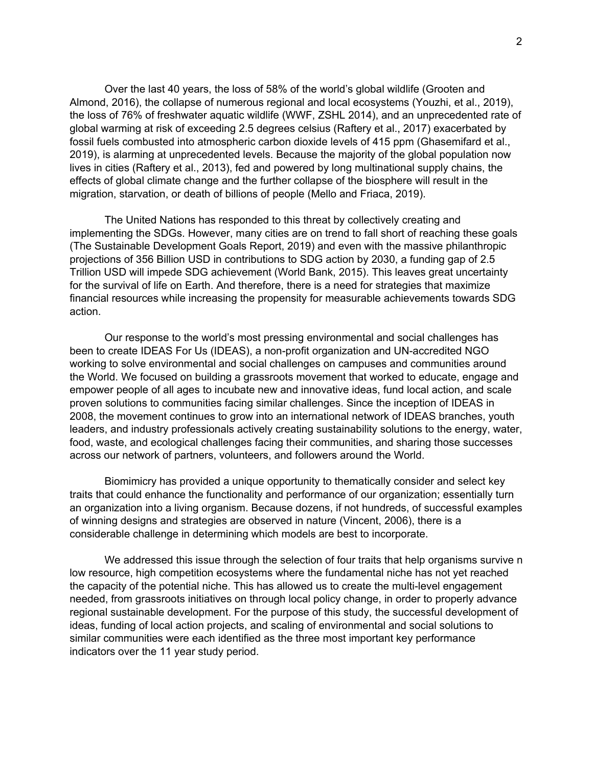Over the last 40 years, the loss of 58% of the world's global wildlife (Grooten and Almond, 2016), the collapse of numerous regional and local ecosystems (Youzhi, et al., 2019), the loss of 76% of freshwater aquatic wildlife (WWF, ZSHL 2014), and an unprecedented rate of global warming at risk of exceeding 2.5 degrees celsius (Raftery et al., 2017) exacerbated by fossil fuels combusted into atmospheric carbon dioxide levels of 415 ppm (Ghasemifard et al., 2019), is alarming at unprecedented levels. Because the majority of the global population now lives in cities (Raftery et al., 2013), fed and powered by long multinational supply chains, the effects of global climate change and the further collapse of the biosphere will result in the migration, starvation, or death of billions of people (Mello and Friaca, 2019).

The United Nations has responded to this threat by collectively creating and implementing the SDGs. However, many cities are on trend to fall short of reaching these goals (The Sustainable Development Goals Report, 2019) and even with the massive philanthropic projections of 356 Billion USD in contributions to SDG action by 2030, a funding gap of 2.5 Trillion USD will impede SDG achievement (World Bank, 2015). This leaves great uncertainty for the survival of life on Earth. And therefore, there is a need for strategies that maximize financial resources while increasing the propensity for measurable achievements towards SDG action.

Our response to the world's most pressing environmental and social challenges has been to create IDEAS For Us (IDEAS), a non-profit organization and UN-accredited NGO working to solve environmental and social challenges on campuses and communities around the World. We focused on building a grassroots movement that worked to educate, engage and empower people of all ages to incubate new and innovative ideas, fund local action, and scale proven solutions to communities facing similar challenges. Since the inception of IDEAS in 2008, the movement continues to grow into an international network of IDEAS branches, youth leaders, and industry professionals actively creating sustainability solutions to the energy, water, food, waste, and ecological challenges facing their communities, and sharing those successes across our network of partners, volunteers, and followers around the World.

Biomimicry has provided a unique opportunity to thematically consider and select key traits that could enhance the functionality and performance of our organization; essentially turn an organization into a living organism. Because dozens, if not hundreds, of successful examples of winning designs and strategies are observed in nature (Vincent, 2006), there is a considerable challenge in determining which models are best to incorporate.

We addressed this issue through the selection of four traits that help organisms survive n low resource, high competition ecosystems where the fundamental niche has not yet reached the capacity of the potential niche. This has allowed us to create the multi-level engagement needed, from grassroots initiatives on through local policy change, in order to properly advance regional sustainable development. For the purpose of this study, the successful development of ideas, funding of local action projects, and scaling of environmental and social solutions to similar communities were each identified as the three most important key performance indicators over the 11 year study period.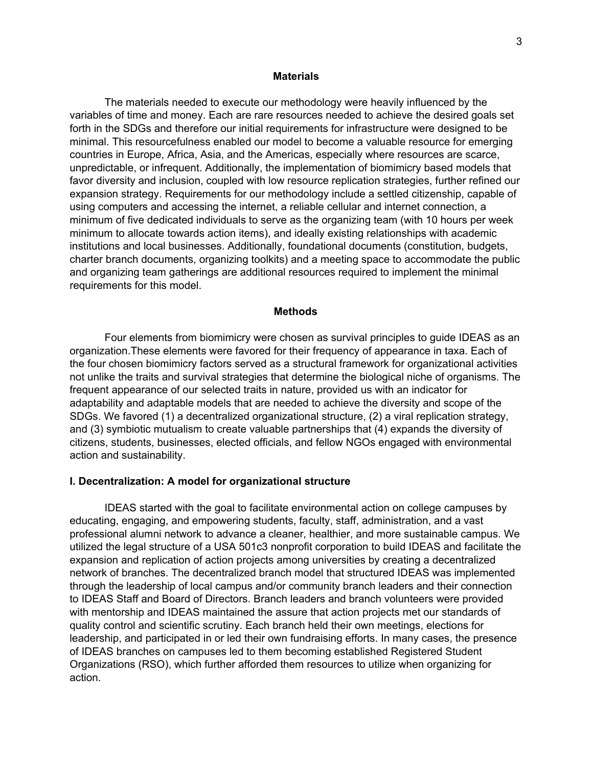### **Materials**

The materials needed to execute our methodology were heavily influenced by the variables of time and money. Each are rare resources needed to achieve the desired goals set forth in the SDGs and therefore our initial requirements for infrastructure were designed to be minimal. This resourcefulness enabled our model to become a valuable resource for emerging countries in Europe, Africa, Asia, and the Americas, especially where resources are scarce, unpredictable, or infrequent. Additionally, the implementation of biomimicry based models that favor diversity and inclusion, coupled with low resource replication strategies, further refined our expansion strategy. Requirements for our methodology include a settled citizenship, capable of using computers and accessing the internet, a reliable cellular and internet connection, a minimum of five dedicated individuals to serve as the organizing team (with 10 hours per week minimum to allocate towards action items), and ideally existing relationships with academic institutions and local businesses. Additionally, foundational documents (constitution, budgets, charter branch documents, organizing toolkits) and a meeting space to accommodate the public and organizing team gatherings are additional resources required to implement the minimal requirements for this model.

### **Methods**

Four elements from biomimicry were chosen as survival principles to guide IDEAS as an organization.These elements were favored for their frequency of appearance in taxa. Each of the four chosen biomimicry factors served as a structural framework for organizational activities not unlike the traits and survival strategies that determine the biological niche of organisms. The frequent appearance of our selected traits in nature, provided us with an indicator for adaptability and adaptable models that are needed to achieve the diversity and scope of the SDGs. We favored (1) a decentralized organizational structure, (2) a viral replication strategy, and (3) symbiotic mutualism to create valuable partnerships that (4) expands the diversity of citizens, students, businesses, elected officials, and fellow NGOs engaged with environmental action and sustainability.

### **I. Decentralization: A model for organizational structure**

IDEAS started with the goal to facilitate environmental action on college campuses by educating, engaging, and empowering students, faculty, staff, administration, and a vast professional alumni network to advance a cleaner, healthier, and more sustainable campus. We utilized the legal structure of a USA 501c3 nonprofit corporation to build IDEAS and facilitate the expansion and replication of action projects among universities by creating a decentralized network of branches. The decentralized branch model that structured IDEAS was implemented through the leadership of local campus and/or community branch leaders and their connection to IDEAS Staff and Board of Directors. Branch leaders and branch volunteers were provided with mentorship and IDEAS maintained the assure that action projects met our standards of quality control and scientific scrutiny. Each branch held their own meetings, elections for leadership, and participated in or led their own fundraising efforts. In many cases, the presence of IDEAS branches on campuses led to them becoming established Registered Student Organizations (RSO), which further afforded them resources to utilize when organizing for action.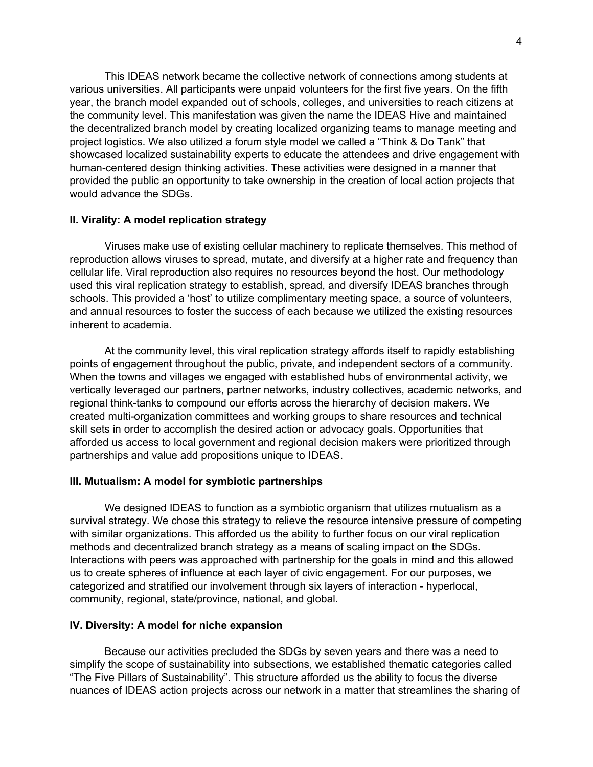This IDEAS network became the collective network of connections among students at various universities. All participants were unpaid volunteers for the first five years. On the fifth year, the branch model expanded out of schools, colleges, and universities to reach citizens at the community level. This manifestation was given the name the IDEAS Hive and maintained the decentralized branch model by creating localized organizing teams to manage meeting and project logistics. We also utilized a forum style model we called a "Think & Do Tank" that showcased localized sustainability experts to educate the attendees and drive engagement with human-centered design thinking activities. These activities were designed in a manner that provided the public an opportunity to take ownership in the creation of local action projects that would advance the SDGs.

#### **II. Virality: A model replication strategy**

Viruses make use of existing cellular machinery to replicate themselves. This method of reproduction allows viruses to spread, mutate, and diversify at a higher rate and frequency than cellular life. Viral reproduction also requires no resources beyond the host. Our methodology used this viral replication strategy to establish, spread, and diversify IDEAS branches through schools. This provided a 'host' to utilize complimentary meeting space, a source of volunteers, and annual resources to foster the success of each because we utilized the existing resources inherent to academia.

At the community level, this viral replication strategy affords itself to rapidly establishing points of engagement throughout the public, private, and independent sectors of a community. When the towns and villages we engaged with established hubs of environmental activity, we vertically leveraged our partners, partner networks, industry collectives, academic networks, and regional think-tanks to compound our efforts across the hierarchy of decision makers. We created multi-organization committees and working groups to share resources and technical skill sets in order to accomplish the desired action or advocacy goals. Opportunities that afforded us access to local government and regional decision makers were prioritized through partnerships and value add propositions unique to IDEAS.

### **III. Mutualism: A model for symbiotic partnerships**

We designed IDEAS to function as a symbiotic organism that utilizes mutualism as a survival strategy. We chose this strategy to relieve the resource intensive pressure of competing with similar organizations. This afforded us the ability to further focus on our viral replication methods and decentralized branch strategy as a means of scaling impact on the SDGs. Interactions with peers was approached with partnership for the goals in mind and this allowed us to create spheres of influence at each layer of civic engagement. For our purposes, we categorized and stratified our involvement through six layers of interaction - hyperlocal, community, regional, state/province, national, and global.

### **IV. Diversity: A model for niche expansion**

Because our activities precluded the SDGs by seven years and there was a need to simplify the scope of sustainability into subsections, we established thematic categories called "The Five Pillars of Sustainability". This structure afforded us the ability to focus the diverse nuances of IDEAS action projects across our network in a matter that streamlines the sharing of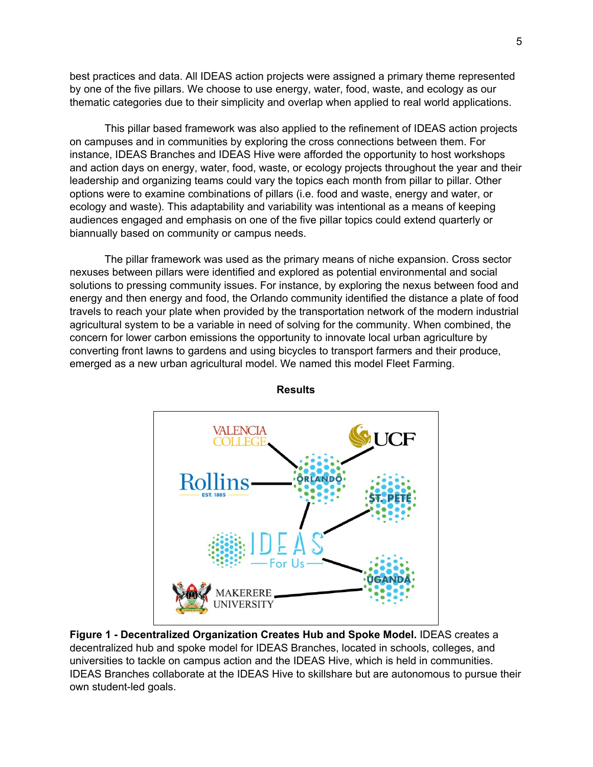best practices and data. All IDEAS action projects were assigned a primary theme represented by one of the five pillars. We choose to use energy, water, food, waste, and ecology as our thematic categories due to their simplicity and overlap when applied to real world applications.

This pillar based framework was also applied to the refinement of IDEAS action projects on campuses and in communities by exploring the cross connections between them. For instance, IDEAS Branches and IDEAS Hive were afforded the opportunity to host workshops and action days on energy, water, food, waste, or ecology projects throughout the year and their leadership and organizing teams could vary the topics each month from pillar to pillar. Other options were to examine combinations of pillars (i.e. food and waste, energy and water, or ecology and waste). This adaptability and variability was intentional as a means of keeping audiences engaged and emphasis on one of the five pillar topics could extend quarterly or biannually based on community or campus needs.

The pillar framework was used as the primary means of niche expansion. Cross sector nexuses between pillars were identified and explored as potential environmental and social solutions to pressing community issues. For instance, by exploring the nexus between food and energy and then energy and food, the Orlando community identified the distance a plate of food travels to reach your plate when provided by the transportation network of the modern industrial agricultural system to be a variable in need of solving for the community. When combined, the concern for lower carbon emissions the opportunity to innovate local urban agriculture by converting front lawns to gardens and using bicycles to transport farmers and their produce, emerged as a new urban agricultural model. We named this model Fleet Farming.



**Results**

**Figure 1 - Decentralized Organization Creates Hub and Spoke Model.** IDEAS creates a decentralized hub and spoke model for IDEAS Branches, located in schools, colleges, and universities to tackle on campus action and the IDEAS Hive, which is held in communities. IDEAS Branches collaborate at the IDEAS Hive to skillshare but are autonomous to pursue their own student-led goals.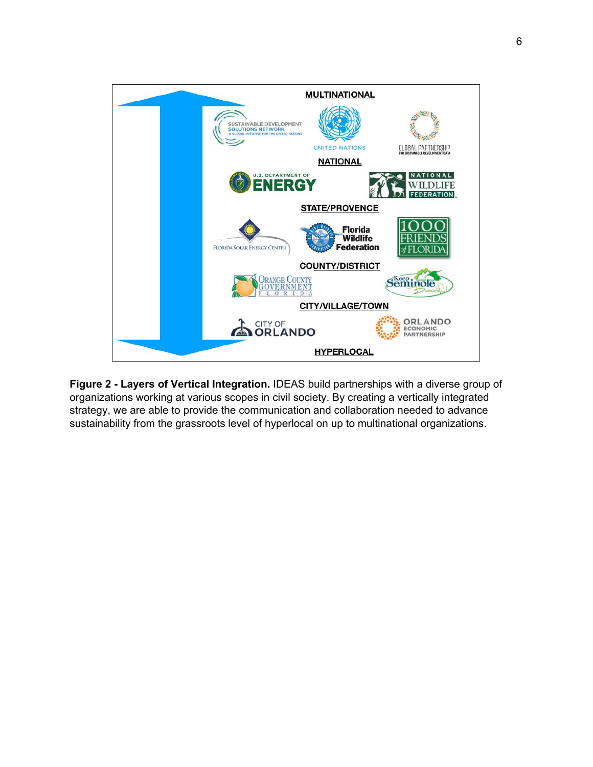

**Figure 2 - Layers of Vertical Integration.** IDEAS build partnerships with a diverse group of organizations working at various scopes in civil society. By creating a vertically integrated strategy, we are able to provide the communication and collaboration needed to advance sustainability from the grassroots level of hyperlocal on up to multinational organizations.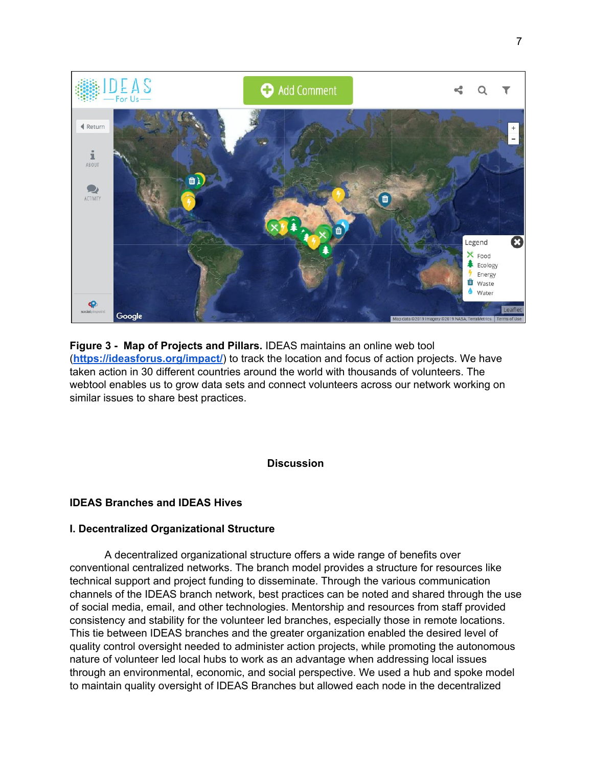

**Figure 3 - Map of Projects and Pillars.** IDEAS maintains an online web tool (**<https://ideasforus.org/impact/>**) to track the location and focus of action projects. We have taken action in 30 different countries around the world with thousands of volunteers. The webtool enables us to grow data sets and connect volunteers across our network working on similar issues to share best practices.

# **Discussion**

# **IDEAS Branches and IDEAS Hives**

## **I. Decentralized Organizational Structure**

A decentralized organizational structure offers a wide range of benefits over conventional centralized networks. The branch model provides a structure for resources like technical support and project funding to disseminate. Through the various communication channels of the IDEAS branch network, best practices can be noted and shared through the use of social media, email, and other technologies. Mentorship and resources from staff provided consistency and stability for the volunteer led branches, especially those in remote locations. This tie between IDEAS branches and the greater organization enabled the desired level of quality control oversight needed to administer action projects, while promoting the autonomous nature of volunteer led local hubs to work as an advantage when addressing local issues through an environmental, economic, and social perspective. We used a hub and spoke model to maintain quality oversight of IDEAS Branches but allowed each node in the decentralized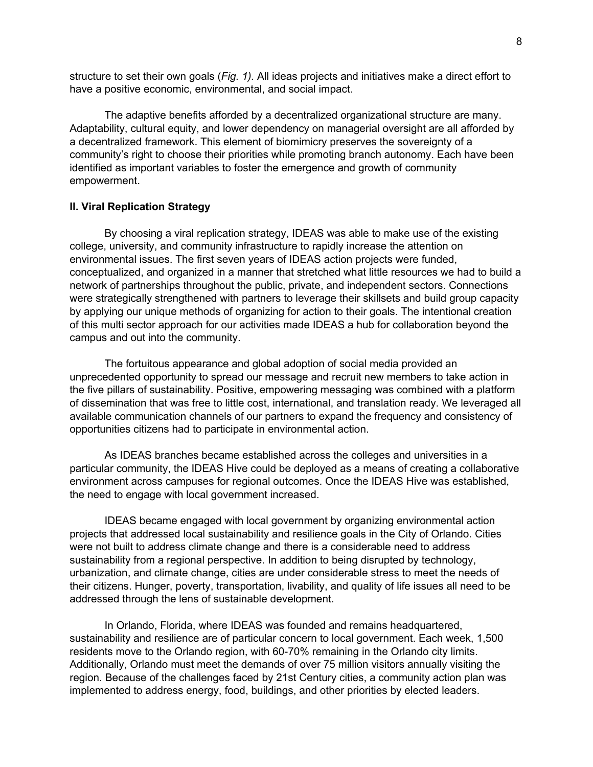structure to set their own goals (*Fig. 1).* All ideas projects and initiatives make a direct effort to have a positive economic, environmental, and social impact.

The adaptive benefits afforded by a decentralized organizational structure are many. Adaptability, cultural equity, and lower dependency on managerial oversight are all afforded by a decentralized framework. This element of biomimicry preserves the sovereignty of a community's right to choose their priorities while promoting branch autonomy. Each have been identified as important variables to foster the emergence and growth of community empowerment.

## **II. Viral Replication Strategy**

By choosing a viral replication strategy, IDEAS was able to make use of the existing college, university, and community infrastructure to rapidly increase the attention on environmental issues. The first seven years of IDEAS action projects were funded, conceptualized, and organized in a manner that stretched what little resources we had to build a network of partnerships throughout the public, private, and independent sectors. Connections were strategically strengthened with partners to leverage their skillsets and build group capacity by applying our unique methods of organizing for action to their goals. The intentional creation of this multi sector approach for our activities made IDEAS a hub for collaboration beyond the campus and out into the community.

The fortuitous appearance and global adoption of social media provided an unprecedented opportunity to spread our message and recruit new members to take action in the five pillars of sustainability. Positive, empowering messaging was combined with a platform of dissemination that was free to little cost, international, and translation ready. We leveraged all available communication channels of our partners to expand the frequency and consistency of opportunities citizens had to participate in environmental action.

As IDEAS branches became established across the colleges and universities in a particular community, the IDEAS Hive could be deployed as a means of creating a collaborative environment across campuses for regional outcomes. Once the IDEAS Hive was established, the need to engage with local government increased.

IDEAS became engaged with local government by organizing environmental action projects that addressed local sustainability and resilience goals in the City of Orlando. Cities were not built to address climate change and there is a considerable need to address sustainability from a regional perspective. In addition to being disrupted by technology, urbanization, and climate change, cities are under considerable stress to meet the needs of their citizens. Hunger, poverty, transportation, livability, and quality of life issues all need to be addressed through the lens of sustainable development.

In Orlando, Florida, where IDEAS was founded and remains headquartered, sustainability and resilience are of particular concern to local government. Each week, 1,500 residents move to the Orlando region, with 60-70% remaining in the Orlando city limits. Additionally, Orlando must meet the demands of over 75 million visitors annually visiting the region. Because of the challenges faced by 21st Century cities, a community action plan was implemented to address energy, food, buildings, and other priorities by elected leaders.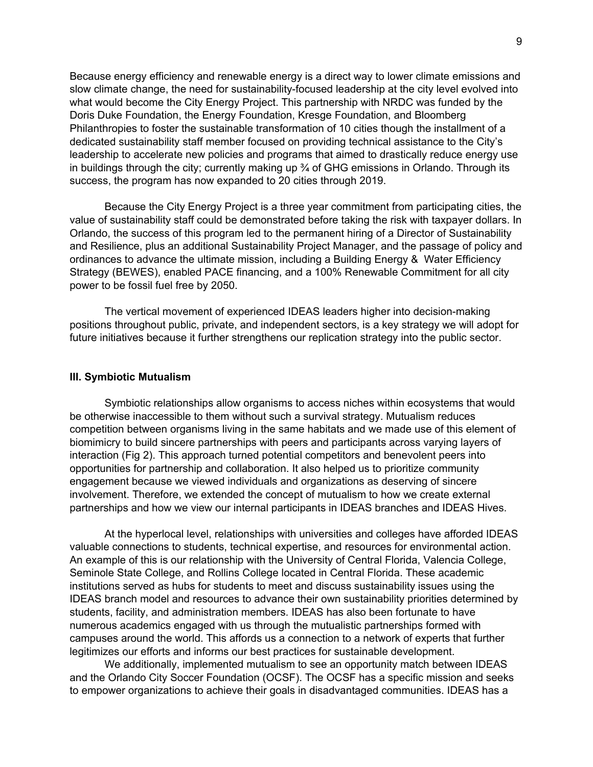Because energy efficiency and renewable energy is a direct way to lower climate emissions and slow climate change, the need for sustainability-focused leadership at the city level evolved into what would become the City Energy Project. This partnership with NRDC was funded by the Doris Duke Foundation, the Energy Foundation, Kresge Foundation, and Bloomberg Philanthropies to foster the sustainable transformation of 10 cities though the installment of a dedicated sustainability staff member focused on providing technical assistance to the City's leadership to accelerate new policies and programs that aimed to drastically reduce energy use in buildings through the city; currently making up ¾ of GHG emissions in Orlando. Through its success, the program has now expanded to 20 cities through 2019.

Because the City Energy Project is a three year commitment from participating cities, the value of sustainability staff could be demonstrated before taking the risk with taxpayer dollars. In Orlando, the success of this program led to the permanent hiring of a Director of Sustainability and Resilience, plus an additional Sustainability Project Manager, and the passage of policy and ordinances to advance the ultimate mission, including a Building Energy & Water Efficiency Strategy (BEWES), enabled PACE financing, and a 100% Renewable Commitment for all city power to be fossil fuel free by 2050.

The vertical movement of experienced IDEAS leaders higher into decision-making positions throughout public, private, and independent sectors, is a key strategy we will adopt for future initiatives because it further strengthens our replication strategy into the public sector.

### **III. Symbiotic Mutualism**

Symbiotic relationships allow organisms to access niches within ecosystems that would be otherwise inaccessible to them without such a survival strategy. Mutualism reduces competition between organisms living in the same habitats and we made use of this element of biomimicry to build sincere partnerships with peers and participants across varying layers of interaction (Fig 2). This approach turned potential competitors and benevolent peers into opportunities for partnership and collaboration. It also helped us to prioritize community engagement because we viewed individuals and organizations as deserving of sincere involvement. Therefore, we extended the concept of mutualism to how we create external partnerships and how we view our internal participants in IDEAS branches and IDEAS Hives.

At the hyperlocal level, relationships with universities and colleges have afforded IDEAS valuable connections to students, technical expertise, and resources for environmental action. An example of this is our relationship with the University of Central Florida, Valencia College, Seminole State College, and Rollins College located in Central Florida. These academic institutions served as hubs for students to meet and discuss sustainability issues using the IDEAS branch model and resources to advance their own sustainability priorities determined by students, facility, and administration members. IDEAS has also been fortunate to have numerous academics engaged with us through the mutualistic partnerships formed with campuses around the world. This affords us a connection to a network of experts that further legitimizes our efforts and informs our best practices for sustainable development.

We additionally, implemented mutualism to see an opportunity match between IDEAS and the Orlando City Soccer Foundation (OCSF). The OCSF has a specific mission and seeks to empower organizations to achieve their goals in disadvantaged communities. IDEAS has a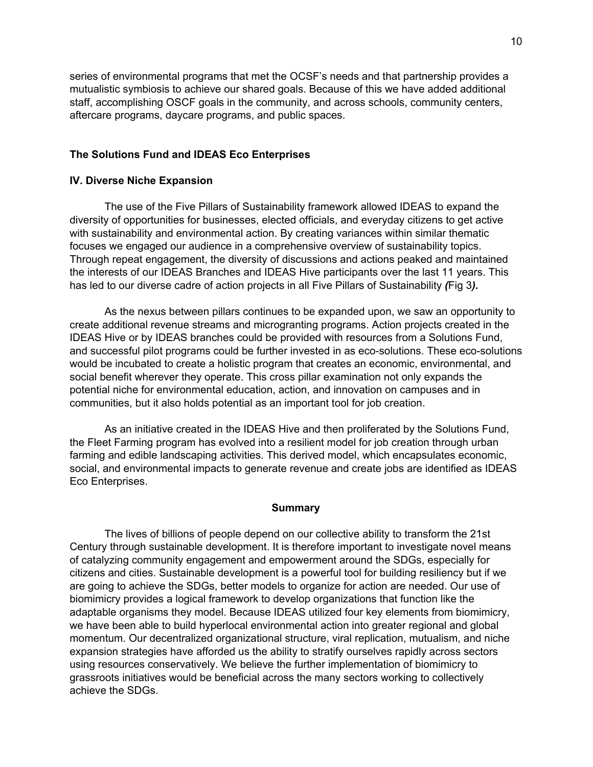series of environmental programs that met the OCSF's needs and that partnership provides a mutualistic symbiosis to achieve our shared goals. Because of this we have added additional staff, accomplishing OSCF goals in the community, and across schools, community centers, aftercare programs, daycare programs, and public spaces.

## **The Solutions Fund and IDEAS Eco Enterprises**

### **IV. Diverse Niche Expansion**

The use of the Five Pillars of Sustainability framework allowed IDEAS to expand the diversity of opportunities for businesses, elected officials, and everyday citizens to get active with sustainability and environmental action. By creating variances within similar thematic focuses we engaged our audience in a comprehensive overview of sustainability topics. Through repeat engagement, the diversity of discussions and actions peaked and maintained the interests of our IDEAS Branches and IDEAS Hive participants over the last 11 years. This has led to our diverse cadre of action projects in all Five Pillars of Sustainability *(*Fig 3*).*

As the nexus between pillars continues to be expanded upon, we saw an opportunity to create additional revenue streams and microgranting programs. Action projects created in the IDEAS Hive or by IDEAS branches could be provided with resources from a Solutions Fund, and successful pilot programs could be further invested in as eco-solutions. These eco-solutions would be incubated to create a holistic program that creates an economic, environmental, and social benefit wherever they operate. This cross pillar examination not only expands the potential niche for environmental education, action, and innovation on campuses and in communities, but it also holds potential as an important tool for job creation.

As an initiative created in the IDEAS Hive and then proliferated by the Solutions Fund, the Fleet Farming program has evolved into a resilient model for job creation through urban farming and edible landscaping activities. This derived model, which encapsulates economic, social, and environmental impacts to generate revenue and create jobs are identified as IDEAS Eco Enterprises.

### **Summary**

The lives of billions of people depend on our collective ability to transform the 21st Century through sustainable development. It is therefore important to investigate novel means of catalyzing community engagement and empowerment around the SDGs, especially for citizens and cities. Sustainable development is a powerful tool for building resiliency but if we are going to achieve the SDGs, better models to organize for action are needed. Our use of biomimicry provides a logical framework to develop organizations that function like the adaptable organisms they model. Because IDEAS utilized four key elements from biomimicry, we have been able to build hyperlocal environmental action into greater regional and global momentum. Our decentralized organizational structure, viral replication, mutualism, and niche expansion strategies have afforded us the ability to stratify ourselves rapidly across sectors using resources conservatively. We believe the further implementation of biomimicry to grassroots initiatives would be beneficial across the many sectors working to collectively achieve the SDGs.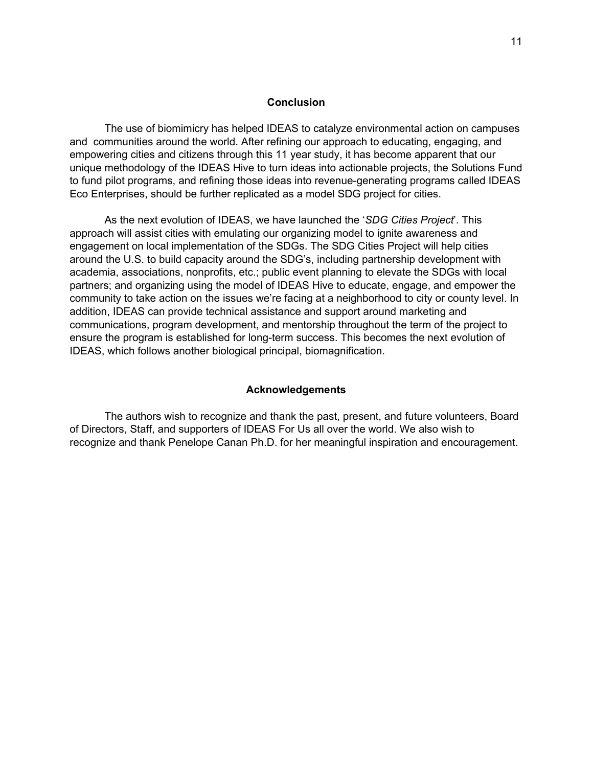### **Conclusion**

The use of biomimicry has helped IDEAS to catalyze environmental action on campuses and communities around the world. After refining our approach to educating, engaging, and empowering cities and citizens through this 11 year study, it has become apparent that our unique methodology of the IDEAS Hive to turn ideas into actionable projects, the Solutions Fund to fund pilot programs, and refining those ideas into revenue-generating programs called IDEAS Eco Enterprises, should be further replicated as a model SDG project for cities.

As the next evolution of IDEAS, we have launched the '*SDG Cities Project*'. This approach will assist cities with emulating our organizing model to ignite awareness and engagement on local implementation of the SDGs. The SDG Cities Project will help cities around the U.S. to build capacity around the SDG's, including partnership development with academia, associations, nonprofits, etc.; public event planning to elevate the SDGs with local partners; and organizing using the model of IDEAS Hive to educate, engage, and empower the community to take action on the issues we're facing at a neighborhood to city or county level. In addition, IDEAS can provide technical assistance and support around marketing and communications, program development, and mentorship throughout the term of the project to ensure the program is established for long-term success. This becomes the next evolution of IDEAS, which follows another biological principal, biomagnification.

### **Acknowledgements**

The authors wish to recognize and thank the past, present, and future volunteers, Board of Directors, Staff, and supporters of IDEAS For Us all over the world. We also wish to recognize and thank Penelope Canan Ph.D. for her meaningful inspiration and encouragement.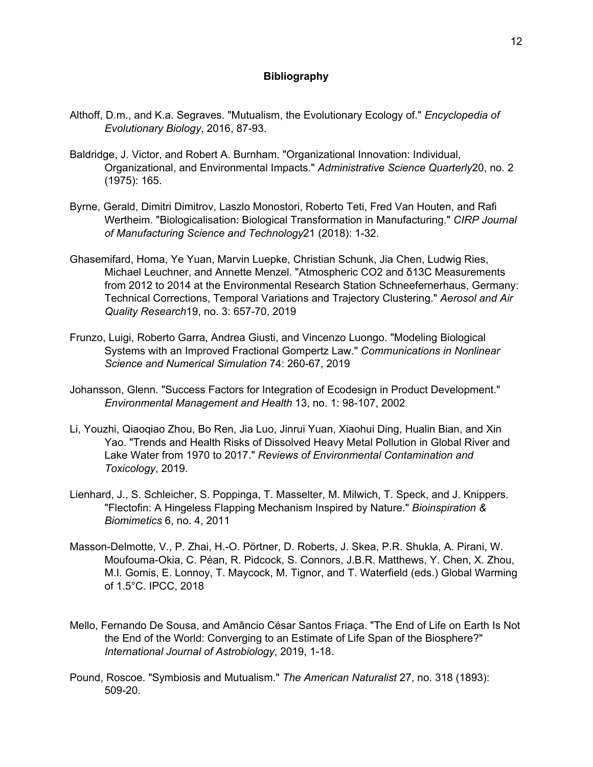## **Bibliography**

- Althoff, D.m., and K.a. Segraves. "Mutualism, the Evolutionary Ecology of." *Encyclopedia of Evolutionary Biology*, 2016, 87-93.
- Baldridge, J. Victor, and Robert A. Burnham. "Organizational Innovation: Individual, Organizational, and Environmental Impacts." *Administrative Science Quarterly*20, no. 2 (1975): 165.
- Byrne, Gerald, Dimitri Dimitrov, Laszlo Monostori, Roberto Teti, Fred Van Houten, and Rafi Wertheim. "Biologicalisation: Biological Transformation in Manufacturing." *CIRP Journal of Manufacturing Science and Technology*21 (2018): 1-32.
- Ghasemifard, Homa, Ye Yuan, Marvin Luepke, Christian Schunk, Jia Chen, Ludwig Ries, Michael Leuchner, and Annette Menzel. "Atmospheric CO2 and δ13C Measurements from 2012 to 2014 at the Environmental Research Station Schneefernerhaus, Germany: Technical Corrections, Temporal Variations and Trajectory Clustering." *Aerosol and Air Quality Research*19, no. 3: 657-70, 2019
- Frunzo, Luigi, Roberto Garra, Andrea Giusti, and Vincenzo Luongo. "Modeling Biological Systems with an Improved Fractional Gompertz Law." *Communications in Nonlinear Science and Numerical Simulation* 74: 260-67, 2019
- Johansson, Glenn. "Success Factors for Integration of Ecodesign in Product Development." *Environmental Management and Health* 13, no. 1: 98-107, 2002
- Li, Youzhi, Qiaoqiao Zhou, Bo Ren, Jia Luo, Jinrui Yuan, Xiaohui Ding, Hualin Bian, and Xin Yao. "Trends and Health Risks of Dissolved Heavy Metal Pollution in Global River and Lake Water from 1970 to 2017." *Reviews of Environmental Contamination and Toxicology*, 2019.
- Lienhard, J., S. Schleicher, S. Poppinga, T. Masselter, M. Milwich, T. Speck, and J. Knippers. "Flectofin: A Hingeless Flapping Mechanism Inspired by Nature." *Bioinspiration & Biomimetics* 6, no. 4, 2011
- Masson-Delmotte, V., P. Zhai, H.-O. Pörtner, D. Roberts, J. Skea, P.R. Shukla, A. Pirani, W. Moufouma-Okia, C. Péan, R. Pidcock, S. Connors, J.B.R. Matthews, Y. Chen, X. Zhou, M.I. Gomis, E. Lonnoy, T. Maycock, M. Tignor, and T. Waterfield (eds.) Global Warming of 1.5°C. IPCC, 2018
- Mello, Fernando De Sousa, and Amâncio César Santos Friaça. "The End of Life on Earth Is Not the End of the World: Converging to an Estimate of Life Span of the Biosphere?" *International Journal of Astrobiology*, 2019, 1-18.
- Pound, Roscoe. "Symbiosis and Mutualism." *The American Naturalist* 27, no. 318 (1893): 509-20.